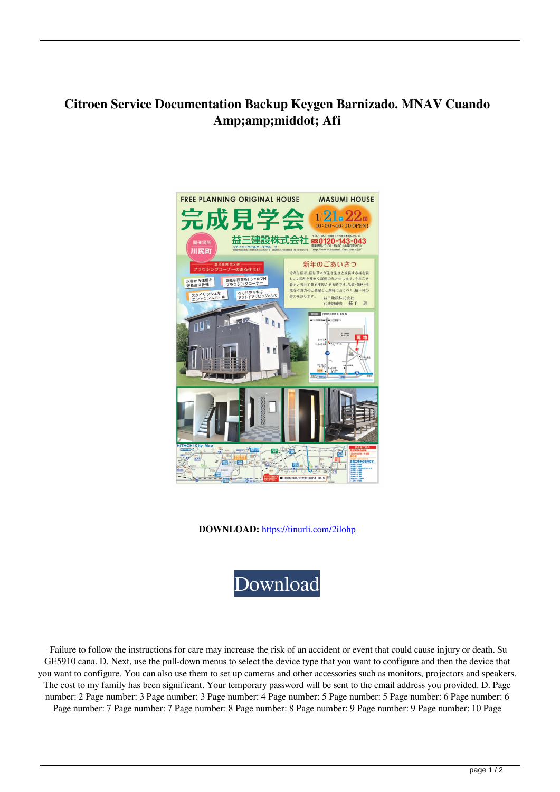## **Citroen Service Documentation Backup Keygen Barnizado. MNAV Cuando Amp;amp;middot; Afi**



**DOWNLOAD:** <https://tinurli.com/2ilohp>



 Failure to follow the instructions for care may increase the risk of an accident or event that could cause injury or death. Su GE5910 cana. D. Next, use the pull-down menus to select the device type that you want to configure and then the device that you want to configure. You can also use them to set up cameras and other accessories such as monitors, projectors and speakers. The cost to my family has been significant. Your temporary password will be sent to the email address you provided. D. Page number: 2 Page number: 3 Page number: 3 Page number: 4 Page number: 5 Page number: 5 Page number: 6 Page number: 6 Page number: 7 Page number: 7 Page number: 8 Page number: 8 Page number: 9 Page number: 9 Page number: 10 Page